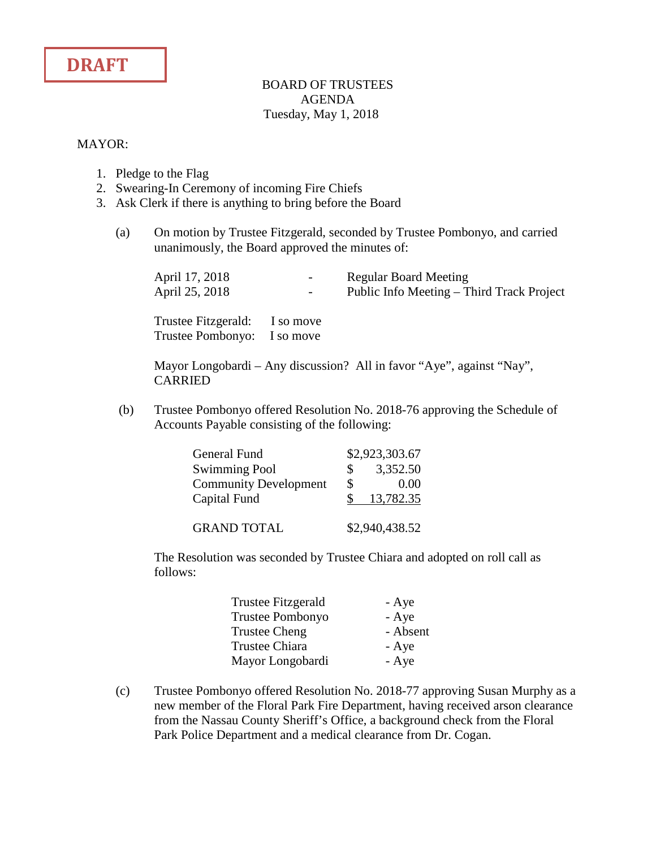

## BOARD OF TRUSTEES AGENDA Tuesday, May 1, 2018

## MAYOR:

- 1. Pledge to the Flag
- 2. Swearing-In Ceremony of incoming Fire Chiefs
- 3. Ask Clerk if there is anything to bring before the Board
	- (a) On motion by Trustee Fitzgerald, seconded by Trustee Pombonyo, and carried unanimously, the Board approved the minutes of:

| April 17, 2018 | $\sim$                                                       | <b>Regular Board Meeting</b>              |
|----------------|--------------------------------------------------------------|-------------------------------------------|
| April 25, 2018 | $\sim$ 100 $\mu$                                             | Public Info Meeting – Third Track Project |
|                | Trustee Fitzgerald: I so move<br>Trustee Pombonyo: I so move |                                           |

Mayor Longobardi – Any discussion? All in favor "Aye", against "Nay", CARRIED

(b) Trustee Pombonyo offered Resolution No. 2018-76 approving the Schedule of Accounts Payable consisting of the following:

| General Fund                 |    | \$2,923,303.67 |
|------------------------------|----|----------------|
| <b>Swimming Pool</b>         | S. | 3,352.50       |
| <b>Community Development</b> | \$ | 0.00           |
| Capital Fund                 |    | 13,782.35      |
|                              |    |                |
| <b>GRAND TOTAL</b>           |    | \$2,940,438.52 |

The Resolution was seconded by Trustee Chiara and adopted on roll call as follows:

| Trustee Fitzgerald   | - Aye    |
|----------------------|----------|
| Trustee Pombonyo     | - Aye    |
| <b>Trustee Cheng</b> | - Absent |
| Trustee Chiara       | - Aye    |
| Mayor Longobardi     | - Aye    |

(c) Trustee Pombonyo offered Resolution No. 2018-77 approving Susan Murphy as a new member of the Floral Park Fire Department, having received arson clearance from the Nassau County Sheriff's Office, a background check from the Floral Park Police Department and a medical clearance from Dr. Cogan.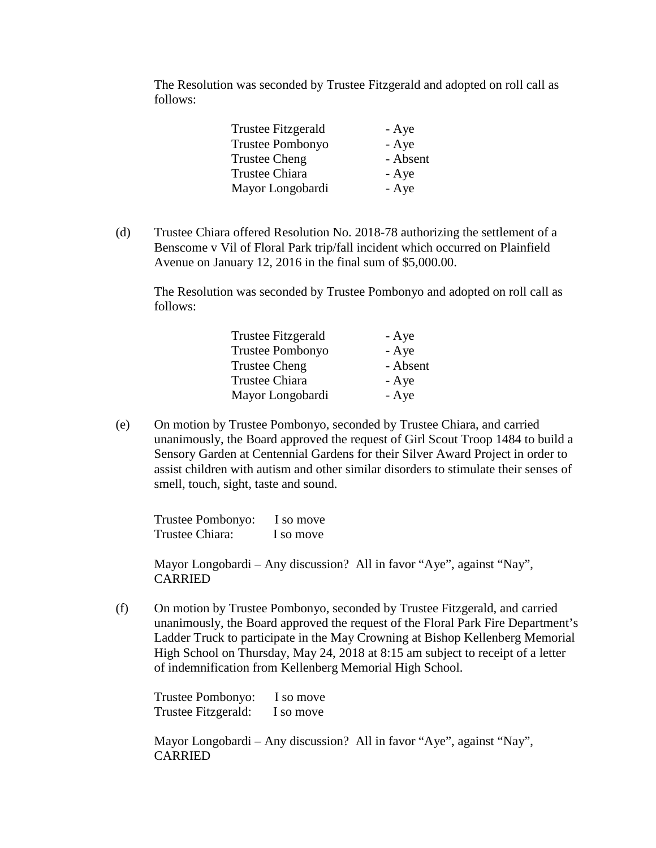The Resolution was seconded by Trustee Fitzgerald and adopted on roll call as follows:

| Trustee Fitzgerald      | - Aye    |
|-------------------------|----------|
| <b>Trustee Pombonyo</b> | - Aye    |
| Trustee Cheng           | - Absent |
| Trustee Chiara          | - Aye    |
| Mayor Longobardi        | - Aye    |

(d) Trustee Chiara offered Resolution No. 2018-78 authorizing the settlement of a Benscome v Vil of Floral Park trip/fall incident which occurred on Plainfield Avenue on January 12, 2016 in the final sum of \$5,000.00.

The Resolution was seconded by Trustee Pombonyo and adopted on roll call as follows:

| <b>Trustee Fitzgerald</b> | - Aye    |
|---------------------------|----------|
| <b>Trustee Pombonyo</b>   | - Aye    |
| <b>Trustee Cheng</b>      | - Absent |
| <b>Trustee Chiara</b>     | - Aye    |
| Mayor Longobardi          | - Aye    |

(e) On motion by Trustee Pombonyo, seconded by Trustee Chiara, and carried unanimously, the Board approved the request of Girl Scout Troop 1484 to build a Sensory Garden at Centennial Gardens for their Silver Award Project in order to assist children with autism and other similar disorders to stimulate their senses of smell, touch, sight, taste and sound.

 Trustee Pombonyo: I so move Trustee Chiara: I so move

Mayor Longobardi – Any discussion? All in favor "Aye", against "Nay", CARRIED

(f) On motion by Trustee Pombonyo, seconded by Trustee Fitzgerald, and carried unanimously, the Board approved the request of the Floral Park Fire Department's Ladder Truck to participate in the May Crowning at Bishop Kellenberg Memorial High School on Thursday, May 24, 2018 at 8:15 am subject to receipt of a letter of indemnification from Kellenberg Memorial High School.

 Trustee Pombonyo: I so move Trustee Fitzgerald: I so move

Mayor Longobardi – Any discussion? All in favor "Aye", against "Nay", CARRIED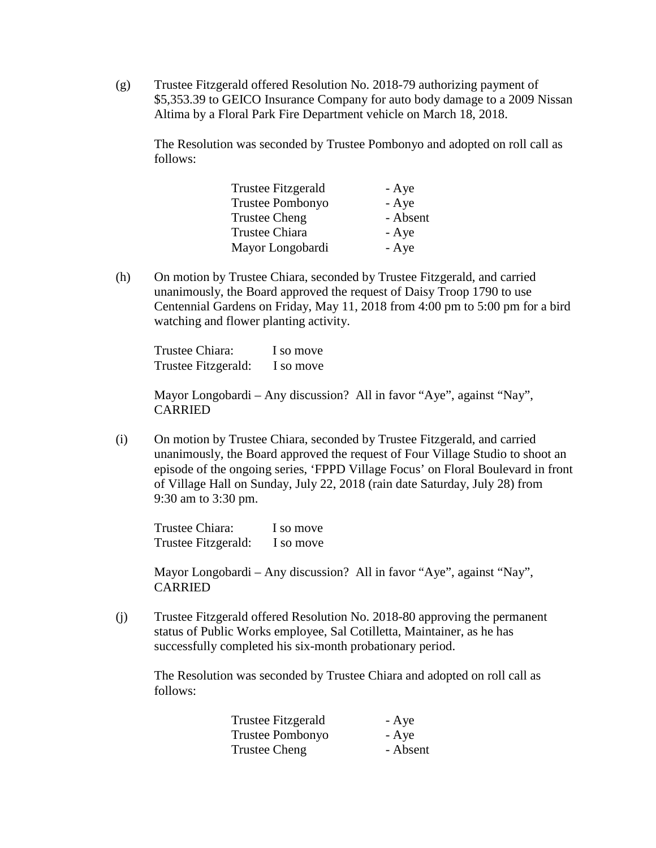(g) Trustee Fitzgerald offered Resolution No. 2018-79 authorizing payment of \$5,353.39 to GEICO Insurance Company for auto body damage to a 2009 Nissan Altima by a Floral Park Fire Department vehicle on March 18, 2018.

The Resolution was seconded by Trustee Pombonyo and adopted on roll call as follows:

| Trustee Fitzgerald   | - Aye    |
|----------------------|----------|
| Trustee Pombonyo     | - Aye    |
| <b>Trustee Cheng</b> | - Absent |
| Trustee Chiara       | - Aye    |
| Mayor Longobardi     | - Aye    |

(h) On motion by Trustee Chiara, seconded by Trustee Fitzgerald, and carried unanimously, the Board approved the request of Daisy Troop 1790 to use Centennial Gardens on Friday, May 11, 2018 from 4:00 pm to 5:00 pm for a bird watching and flower planting activity.

 Trustee Chiara: I so move Trustee Fitzgerald: I so move

Mayor Longobardi – Any discussion? All in favor "Aye", against "Nay", CARRIED

(i) On motion by Trustee Chiara, seconded by Trustee Fitzgerald, and carried unanimously, the Board approved the request of Four Village Studio to shoot an episode of the ongoing series, 'FPPD Village Focus' on Floral Boulevard in front of Village Hall on Sunday, July 22, 2018 (rain date Saturday, July 28) from 9:30 am to 3:30 pm.

 Trustee Chiara: I so move Trustee Fitzgerald: I so move

Mayor Longobardi – Any discussion? All in favor "Aye", against "Nay", CARRIED

(j) Trustee Fitzgerald offered Resolution No. 2018-80 approving the permanent status of Public Works employee, Sal Cotilletta, Maintainer, as he has successfully completed his six-month probationary period.

The Resolution was seconded by Trustee Chiara and adopted on roll call as follows:

| Trustee Fitzgerald      | - Aye    |
|-------------------------|----------|
| <b>Trustee Pombonyo</b> | - Aye    |
| Trustee Cheng           | - Absent |